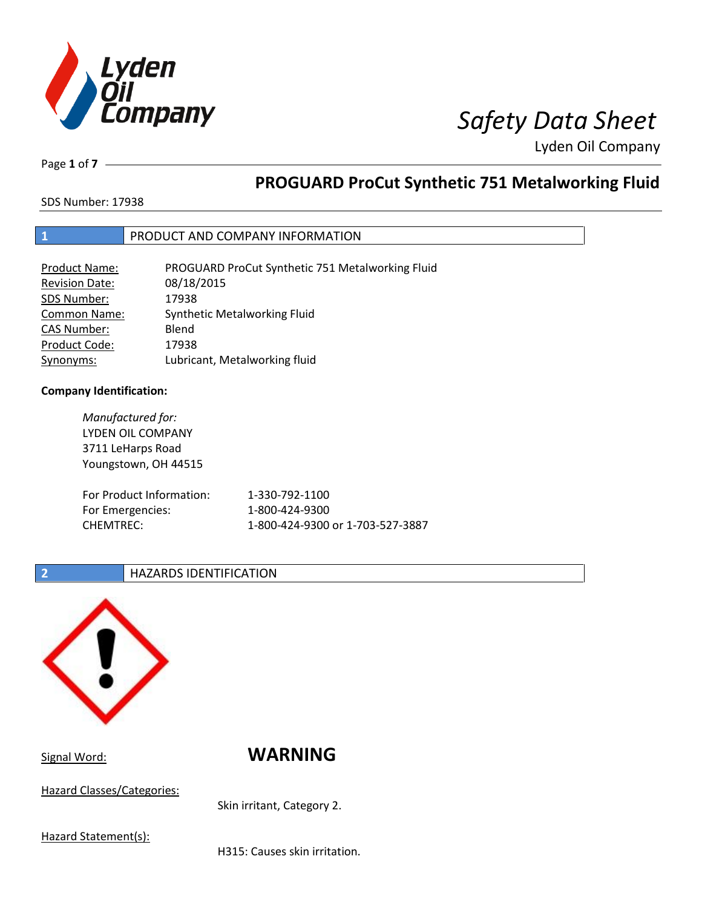

Page **1** of **7**

# **PROGUARD ProCut Synthetic 751 Metalworking Fluid**

SDS Number: 17938

## **1** PRODUCT AND COMPANY INFORMATION

| Product Name:         | PROGUARD ProCut Synthetic 751 Metalworking Fluid |
|-----------------------|--------------------------------------------------|
| <b>Revision Date:</b> | 08/18/2015                                       |
| SDS Number:           | 17938                                            |
| <b>Common Name:</b>   | Synthetic Metalworking Fluid                     |
| <b>CAS Number:</b>    | Blend                                            |
| Product Code:         | 17938                                            |
| Synonyms:             | Lubricant, Metalworking fluid                    |

### **Company Identification:**

| Manufactured for:        |                                  |
|--------------------------|----------------------------------|
| LYDEN OIL COMPANY        |                                  |
| 3711 LeHarps Road        |                                  |
| Youngstown, OH 44515     |                                  |
|                          |                                  |
| For Product Information: | 1-330-792-1100                   |
| For Emergencies:         | 1-800-424-9300                   |
| <b>CHEMTREC:</b>         | 1-800-424-9300 or 1-703-527-3887 |
|                          |                                  |

## **2 HAZARDS IDENTIFICATION**



Signal Word: **WARNING**

Hazard Classes/Categories:

Skin irritant, Category 2.

Hazard Statement(s):

H315: Causes skin irritation.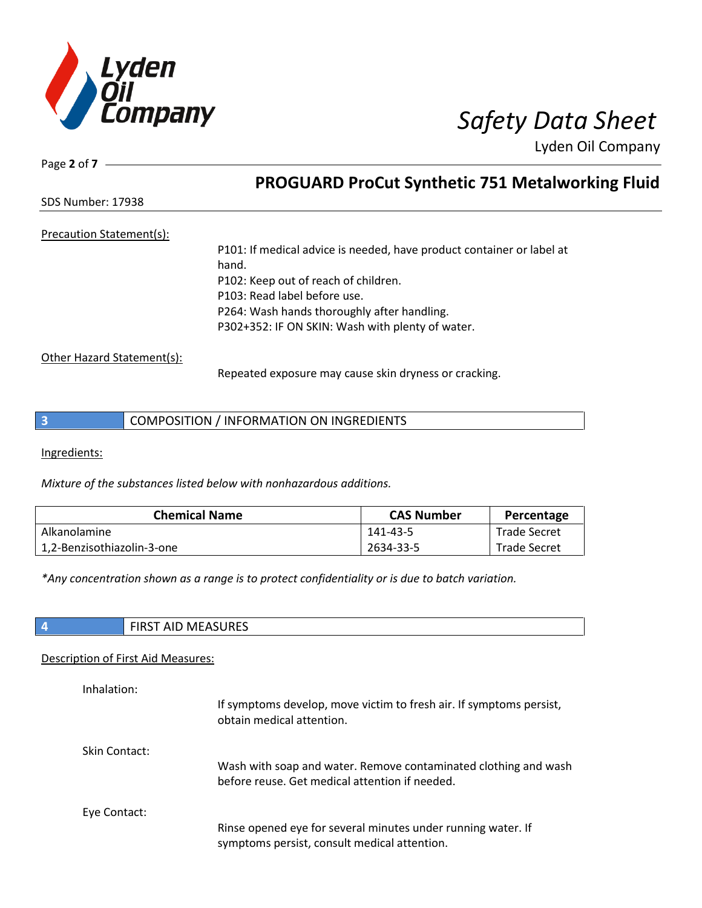

SDS Number: 17938

Page **2** of **7**

Precaution Statement(s):

P101: If medical advice is needed, have product container or label at hand. P102: Keep out of reach of children. P103: Read label before use. P264: Wash hands thoroughly after handling. P302+352: IF ON SKIN: Wash with plenty of water.

**PROGUARD ProCut Synthetic 751 Metalworking Fluid**

Other Hazard Statement(s):

Repeated exposure may cause skin dryness or cracking.

|  | COMPOSITION / INFORMATION ON INGREDIENTS |
|--|------------------------------------------|
|--|------------------------------------------|

Ingredients:

*Mixture of the substances listed below with nonhazardous additions.*

| <b>Chemical Name</b>       | <b>CAS Number</b> | Percentage          |
|----------------------------|-------------------|---------------------|
| Alkanolamine               | 141-43-5          | <b>Trade Secret</b> |
| 1,2-Benzisothiazolin-3-one | 2634-33-5         | <b>Trade Secret</b> |

*\*Any concentration shown as a range is to protect confidentiality or is due to batch variation.*

| <b>NAEACLIDEC</b><br>w<br>נאטכאאויו<br>שור<br>. |
|-------------------------------------------------|
|-------------------------------------------------|

### Description of First Aid Measures:

| Inhalation:   | If symptoms develop, move victim to fresh air. If symptoms persist,<br>obtain medical attention.                  |
|---------------|-------------------------------------------------------------------------------------------------------------------|
| Skin Contact: | Wash with soap and water. Remove contaminated clothing and wash<br>before reuse. Get medical attention if needed. |
| Eye Contact:  | Rinse opened eye for several minutes under running water. If<br>symptoms persist, consult medical attention.      |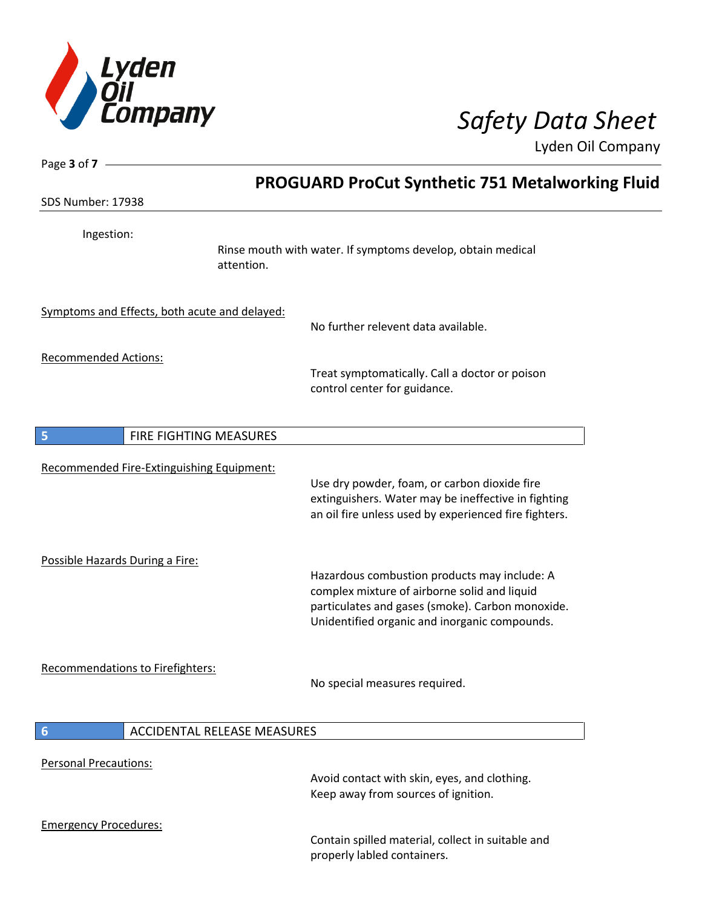

Page **3** of **7**

Lyden Oil Company

|                                               | <b>PROGUARD ProCut Synthetic 751 Metalworking Fluid</b>                                                                                                                                           |
|-----------------------------------------------|---------------------------------------------------------------------------------------------------------------------------------------------------------------------------------------------------|
| SDS Number: 17938                             |                                                                                                                                                                                                   |
| Ingestion:<br>attention.                      | Rinse mouth with water. If symptoms develop, obtain medical                                                                                                                                       |
| Symptoms and Effects, both acute and delayed: | No further relevent data available.                                                                                                                                                               |
| <b>Recommended Actions:</b>                   | Treat symptomatically. Call a doctor or poison<br>control center for guidance.                                                                                                                    |
| FIRE FIGHTING MEASURES<br>5                   |                                                                                                                                                                                                   |
| Recommended Fire-Extinguishing Equipment:     | Use dry powder, foam, or carbon dioxide fire<br>extinguishers. Water may be ineffective in fighting<br>an oil fire unless used by experienced fire fighters.                                      |
| Possible Hazards During a Fire:               | Hazardous combustion products may include: A<br>complex mixture of airborne solid and liquid<br>particulates and gases (smoke). Carbon monoxide.<br>Unidentified organic and inorganic compounds. |
| Recommendations to Firefighters:              | No special measures required.                                                                                                                                                                     |
| 6<br><b>ACCIDENTAL RELEASE MEASURES</b>       |                                                                                                                                                                                                   |
| <b>Personal Precautions:</b>                  | Avoid contact with skin, eyes, and clothing.<br>Keep away from sources of ignition.                                                                                                               |
| <b>Emergency Procedures:</b>                  | Contain spilled material, collect in suitable and<br>properly labled containers.                                                                                                                  |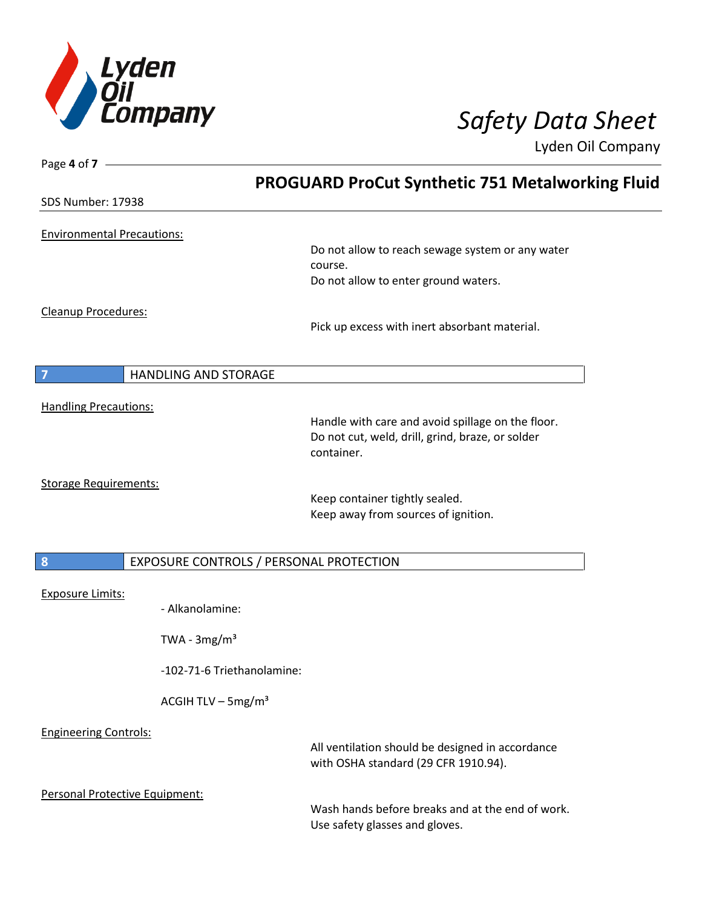

| Page 4 of $7 -$                   |                                         |                                                                                                       |  |
|-----------------------------------|-----------------------------------------|-------------------------------------------------------------------------------------------------------|--|
|                                   |                                         | <b>PROGUARD ProCut Synthetic 751 Metalworking Fluid</b>                                               |  |
| SDS Number: 17938                 |                                         |                                                                                                       |  |
| <b>Environmental Precautions:</b> |                                         |                                                                                                       |  |
|                                   |                                         | Do not allow to reach sewage system or any water<br>course.                                           |  |
|                                   |                                         | Do not allow to enter ground waters.                                                                  |  |
| Cleanup Procedures:               |                                         |                                                                                                       |  |
|                                   |                                         | Pick up excess with inert absorbant material.                                                         |  |
|                                   |                                         |                                                                                                       |  |
| 7                                 | HANDLING AND STORAGE                    |                                                                                                       |  |
| <b>Handling Precautions:</b>      |                                         |                                                                                                       |  |
|                                   |                                         | Handle with care and avoid spillage on the floor.<br>Do not cut, weld, drill, grind, braze, or solder |  |
|                                   |                                         | container.                                                                                            |  |
| <b>Storage Requirements:</b>      |                                         |                                                                                                       |  |
|                                   |                                         | Keep container tightly sealed.<br>Keep away from sources of ignition.                                 |  |
|                                   |                                         |                                                                                                       |  |
| 8                                 | EXPOSURE CONTROLS / PERSONAL PROTECTION |                                                                                                       |  |
|                                   |                                         |                                                                                                       |  |
| <b>Exposure Limits:</b>           | - Alkanolamine:                         |                                                                                                       |  |
|                                   |                                         |                                                                                                       |  |
|                                   | TWA - $3mg/m3$                          |                                                                                                       |  |
|                                   | -102-71-6 Triethanolamine:              |                                                                                                       |  |
|                                   | ACGIH TLV $-$ 5mg/m <sup>3</sup>        |                                                                                                       |  |
| <b>Engineering Controls:</b>      |                                         |                                                                                                       |  |
|                                   |                                         | All ventilation should be designed in accordance<br>with OSHA standard (29 CFR 1910.94).              |  |
| Personal Protective Equipment:    |                                         |                                                                                                       |  |
|                                   |                                         | Wash hands before breaks and at the end of work.<br>Use safety glasses and gloves.                    |  |
|                                   |                                         |                                                                                                       |  |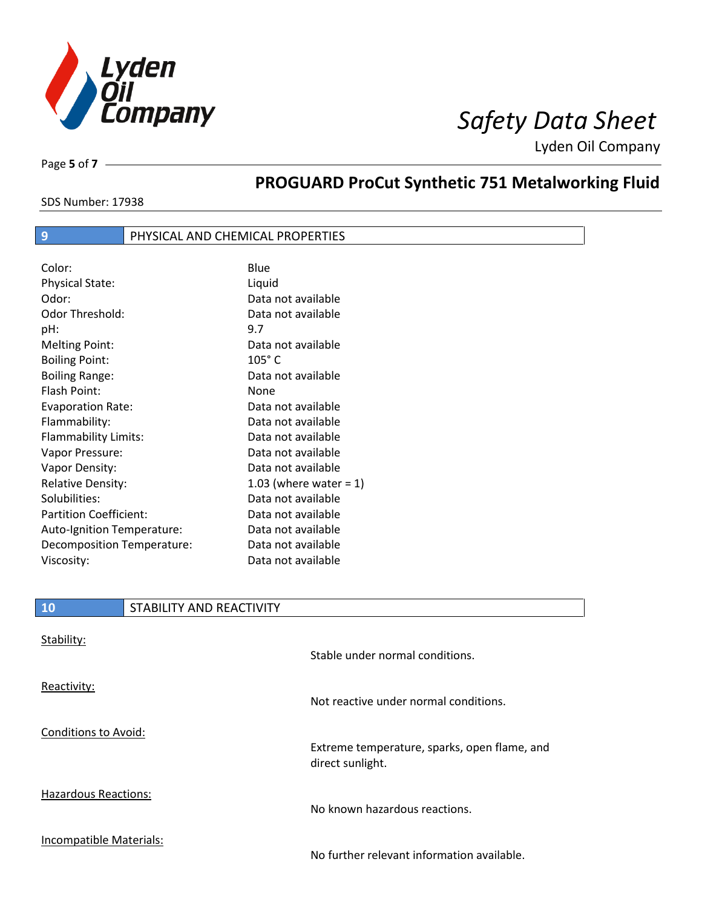

Page **5** of **7**

# **PROGUARD ProCut Synthetic 751 Metalworking Fluid**

SDS Number: 17938

# **9** PHYSICAL AND CHEMICAL PROPERTIES

| Color:                        | Blue                      |
|-------------------------------|---------------------------|
| Physical State:               | Liquid                    |
| Odor:                         | Data not available        |
| Odor Threshold:               | Data not available        |
| pH:                           | 9.7                       |
| <b>Melting Point:</b>         | Data not available        |
| <b>Boiling Point:</b>         | $105^\circ$ C             |
| <b>Boiling Range:</b>         | Data not available        |
| Flash Point:                  | None                      |
| <b>Evaporation Rate:</b>      | Data not available        |
| Flammability:                 | Data not available        |
| Flammability Limits:          | Data not available        |
| Vapor Pressure:               | Data not available        |
| Vapor Density:                | Data not available        |
| <b>Relative Density:</b>      | 1.03 (where water = $1$ ) |
| Solubilities:                 | Data not available        |
| <b>Partition Coefficient:</b> | Data not available        |
| Auto-Ignition Temperature:    | Data not available        |
| Decomposition Temperature:    | Data not available        |
| Viscosity:                    | Data not available        |

## **10** STABILITY AND REACTIVITY

| Stability:                  | Stable under normal conditions.                                  |
|-----------------------------|------------------------------------------------------------------|
| Reactivity:                 | Not reactive under normal conditions.                            |
| Conditions to Avoid:        | Extreme temperature, sparks, open flame, and<br>direct sunlight. |
| <b>Hazardous Reactions:</b> | No known hazardous reactions.                                    |
| Incompatible Materials:     | No further relevant information available.                       |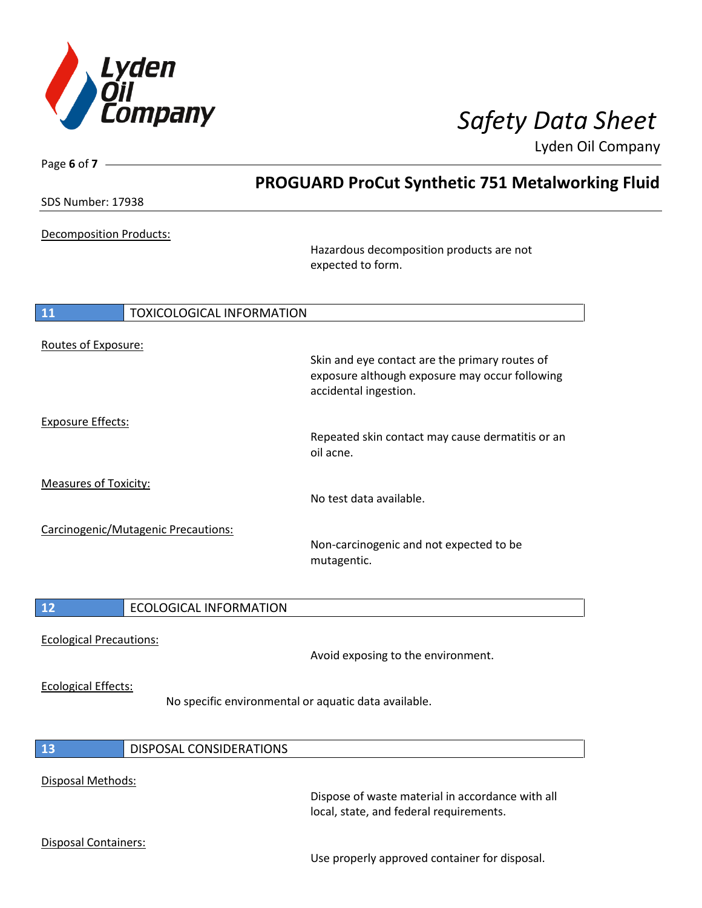

| Page 6 of $7 -$                |                                     |                                                                                                                           |  |
|--------------------------------|-------------------------------------|---------------------------------------------------------------------------------------------------------------------------|--|
| SDS Number: 17938              |                                     | <b>PROGUARD ProCut Synthetic 751 Metalworking Fluid</b>                                                                   |  |
|                                |                                     |                                                                                                                           |  |
| <b>Decomposition Products:</b> |                                     |                                                                                                                           |  |
|                                |                                     | Hazardous decomposition products are not<br>expected to form.                                                             |  |
| 11                             | <b>TOXICOLOGICAL INFORMATION</b>    |                                                                                                                           |  |
|                                |                                     |                                                                                                                           |  |
| Routes of Exposure:            |                                     | Skin and eye contact are the primary routes of<br>exposure although exposure may occur following<br>accidental ingestion. |  |
| <b>Exposure Effects:</b>       |                                     |                                                                                                                           |  |
|                                |                                     | Repeated skin contact may cause dermatitis or an<br>oil acne.                                                             |  |
| <b>Measures of Toxicity:</b>   |                                     |                                                                                                                           |  |
|                                |                                     | No test data available.                                                                                                   |  |
|                                | Carcinogenic/Mutagenic Precautions: | Non-carcinogenic and not expected to be<br>mutagentic.                                                                    |  |
|                                |                                     |                                                                                                                           |  |
| 12                             | <b>ECOLOGICAL INFORMATION</b>       |                                                                                                                           |  |
|                                |                                     |                                                                                                                           |  |
| <b>Ecological Precautions:</b> |                                     | Avoid exposing to the environment.                                                                                        |  |
| <b>Ecological Effects:</b>     |                                     | No specific environmental or aquatic data available.                                                                      |  |
| 13                             | DISPOSAL CONSIDERATIONS             |                                                                                                                           |  |
|                                |                                     |                                                                                                                           |  |
| Disposal Methods:              |                                     | Dispose of waste material in accordance with all<br>local, state, and federal requirements.                               |  |
| Disposal Containers:           |                                     |                                                                                                                           |  |
|                                |                                     | Use properly approved container for disposal.                                                                             |  |